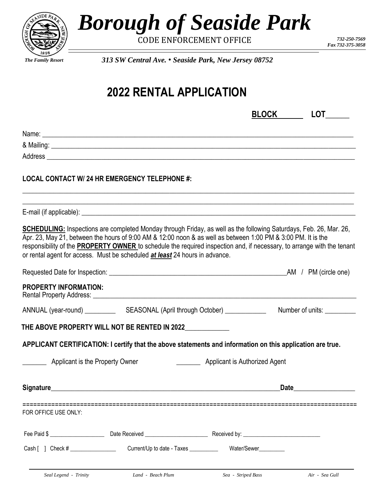

*Borough of Seaside Park*

CODE ENFORCEMENT OFFICE *732-250-7569*

*Fax 732-375-3058*

*313 SW Central Ave.* • *Seaside Park, New Jersey 08752*

## **2022 RENTAL APPLICATION**

|                                 |                                                                                                                                                                                                                                                                                                                                                                                                                                                           | <b>BLOCK</b>                  | LOT                         |
|---------------------------------|-----------------------------------------------------------------------------------------------------------------------------------------------------------------------------------------------------------------------------------------------------------------------------------------------------------------------------------------------------------------------------------------------------------------------------------------------------------|-------------------------------|-----------------------------|
|                                 |                                                                                                                                                                                                                                                                                                                                                                                                                                                           |                               |                             |
|                                 |                                                                                                                                                                                                                                                                                                                                                                                                                                                           |                               |                             |
|                                 |                                                                                                                                                                                                                                                                                                                                                                                                                                                           |                               |                             |
|                                 | <b>LOCAL CONTACT W/ 24 HR EMERGENCY TELEPHONE #:</b>                                                                                                                                                                                                                                                                                                                                                                                                      |                               |                             |
|                                 |                                                                                                                                                                                                                                                                                                                                                                                                                                                           |                               |                             |
|                                 | <b>SCHEDULING:</b> Inspections are completed Monday through Friday, as well as the following Saturdays, Feb. 26, Mar. 26,<br>Apr. 23, May 21, between the hours of 9:00 AM & 12:00 noon & as well as between 1:00 PM & 3:00 PM. It is the<br>responsibility of the <b>PROPERTY OWNER</b> to schedule the required inspection and, if necessary, to arrange with the tenant<br>or rental agent for access. Must be scheduled at least 24 hours in advance. |                               |                             |
|                                 |                                                                                                                                                                                                                                                                                                                                                                                                                                                           |                               |                             |
| <b>PROPERTY INFORMATION:</b>    |                                                                                                                                                                                                                                                                                                                                                                                                                                                           |                               |                             |
|                                 |                                                                                                                                                                                                                                                                                                                                                                                                                                                           |                               | Number of units: __________ |
|                                 | THE ABOVE PROPERTY WILL NOT BE RENTED IN 2022                                                                                                                                                                                                                                                                                                                                                                                                             |                               |                             |
|                                 | APPLICANT CERTIFICATION: I certify that the above statements and information on this application are true.                                                                                                                                                                                                                                                                                                                                                |                               |                             |
| Applicant is the Property Owner |                                                                                                                                                                                                                                                                                                                                                                                                                                                           | Applicant is Authorized Agent |                             |
| <b>Signature</b>                |                                                                                                                                                                                                                                                                                                                                                                                                                                                           |                               | <b>Date</b>                 |
| FOR OFFICE USE ONLY:            |                                                                                                                                                                                                                                                                                                                                                                                                                                                           |                               |                             |
|                                 |                                                                                                                                                                                                                                                                                                                                                                                                                                                           |                               |                             |
|                                 |                                                                                                                                                                                                                                                                                                                                                                                                                                                           |                               |                             |
|                                 | Seal Legend - Trinity <b>Land - Beach Plum</b>                                                                                                                                                                                                                                                                                                                                                                                                            | Sea - Striped Bass            | Air - Sea Gull              |